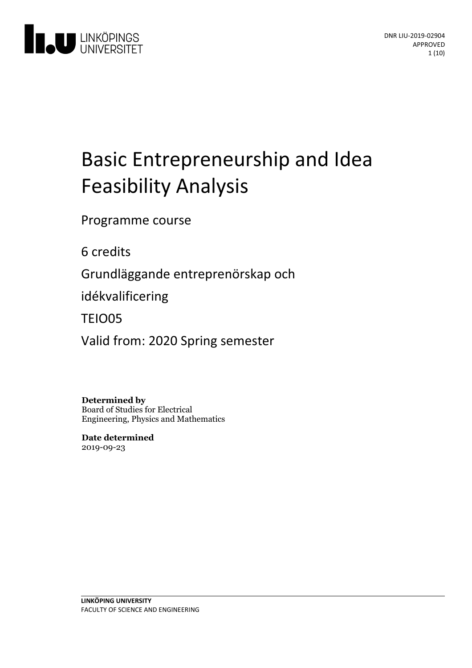

# Basic Entrepreneurship and Idea Feasibility Analysis

Programme course

6 credits

Grundläggande entreprenörskap och

idékvalificering

TEIO05

Valid from: 2020 Spring semester

**Determined by** Board of Studies for Electrical Engineering, Physics and Mathematics

**Date determined** 2019-09-23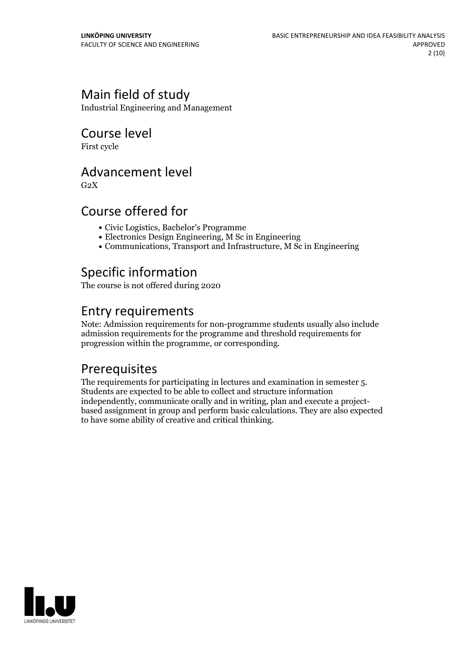## Main field of study

Industrial Engineering and Management

## Course level

First cycle

## Advancement level

 $G<sub>2</sub>X$ 

## Course offered for

- Civic Logistics, Bachelor's Programme
- Electronics Design Engineering, M Sc in Engineering
- Communications, Transport and Infrastructure, M Sc in Engineering

## Specific information

The course is not offered during 2020

## Entry requirements

Note: Admission requirements for non-programme students usually also include admission requirements for the programme and threshold requirements for progression within the programme, or corresponding.

## **Prerequisites**

The requirements for participating in lectures and examination in semester 5.<br>Students are expected to be able to collect and structure information independently, communicate orally and in writing, plan and execute <sup>a</sup> project- based assignment in group and perform basic calculations. They are also expected to have some ability of creative and critical thinking.

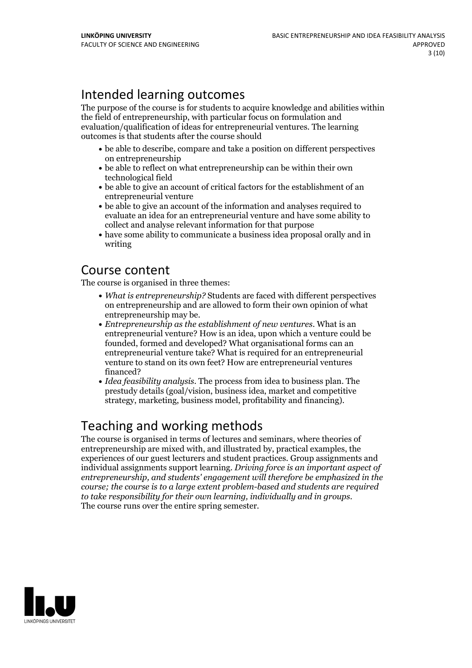## Intended learning outcomes

The purpose of the course is for students to acquire knowledge and abilities within the field of entrepreneurship, with particular focus on formulation and evaluation/qualification of ideas for entrepreneurial ventures. The learning outcomes is that students after the course should

- be able to describe, compare and take a position on different perspectives on entrepreneurship
- be able to reflect on what entrepreneurship can be within their own technological field
- be able to give an account of critical factors for the establishment of an entrepreneurial venture
- be able to give an account of the information and analyses required to evaluate an idea for an entrepreneurial venture and have some ability to collect and analyse relevant information for that purpose
- have some ability to communicate a business idea proposal orally and in writing

## Course content

The course is organised in three themes:

- *What is entrepreneurship?* Students are faced with different perspectives on entrepreneurship and are allowed to form their own opinion of what entrepreneurship may be. *Entrepreneurship as the establishment of new ventures*. What is an
- entrepreneurial venture? How is an idea, upon which a venture could be founded, formed and developed? What organisational forms can an entrepreneurial venture take? What is required for an entrepreneurial venture to stand on its own feet? How are entrepreneurial ventures financed?
- *Idea feasibility analysis*. The process from idea to business plan. The prestudy details (goal/vision, business idea, market and competitive strategy, marketing, business model, profitability and financing).

## Teaching and working methods

The course is organised in terms of lectures and seminars, where theories of entrepreneurship are mixed with, and illustrated by, practical examples, the experiences of our guest lecturers and student practices. Group assignments and individual assignments support learning. *Driving force is an important aspect of entrepreneurship, and students' engagement will therefore be emphasized in the course; the course is to a large extent problem-based and students are required to take responsibility for their own learning, individually and in groups.* The course runs over the entire spring semester.

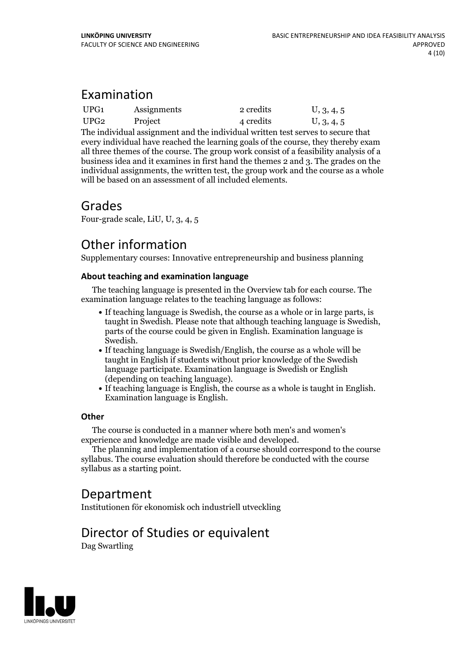## Examination

| UPG1 | Assignments | 2 credits | U, 3, 4, 5 |
|------|-------------|-----------|------------|
| UPG2 | Project     | 4 credits | U, 3, 4, 5 |

The individual assignment and the individual written test serves to secure that every individual have reached the learning goals of the course, they thereby exam all three themes of the course. The group work consist of a feasibility analysis of a business idea and it examines in first hand the themes 2 and 3. The grades on the individual assignments, the written test, the group work and the course as a whole will be based on an assessment of all included elements.

## Grades

Four-grade scale, LiU, U, 3, 4, 5

## Other information

Supplementary courses: Innovative entrepreneurship and business planning

### **About teaching and examination language**

The teaching language is presented in the Overview tab for each course. The examination language relates to the teaching language as follows:

- If teaching language is Swedish, the course as a whole or in large parts, is taught in Swedish. Please note that although teaching language is Swedish, parts of the course could be given in English. Examination language is
- Swedish.<br>• If teaching language is Swedish/English, the course as a whole will be taught in English if students without prior knowledge of the Swedish language participate. Examination language is Swedish or English
- $\bullet$  If teaching language is English, the course as a whole is taught in English. Examination language is English.

### **Other**

The course is conducted in a manner where both men's and women's

The planning and implementation of a course should correspond to the course syllabus. The course evaluation should therefore be conducted with the course syllabus as a starting point.

## Department

Institutionen för ekonomisk och industriell utveckling

## Director of Studies or equivalent

Dag Swartling

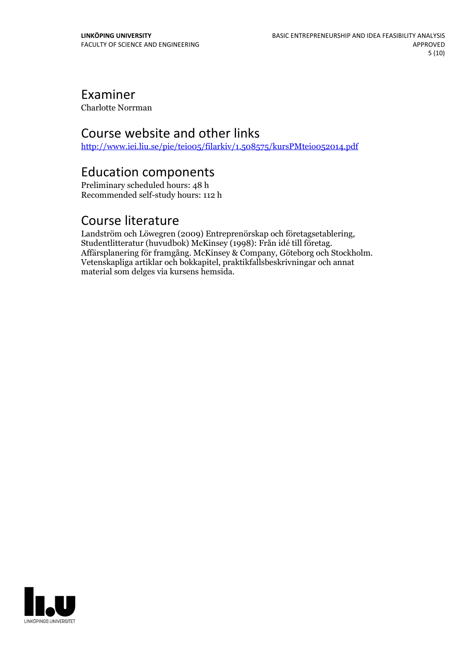## Examiner

Charlotte Norrman

## Course website and other links

<http://www.iei.liu.se/pie/teio05/filarkiv/1.508575/kursPMteio052014.pdf>

## Education components

Preliminary scheduled hours: 48 h Recommended self-study hours: 112 h

Course literature<br>Landström och Löwegren (2009) Entreprenörskap och företagsetablering, Studentlitteratur (huvudbok) McKinsey (1998): Från idé till företag.<br>Affärsplanering för framgång. McKinsey & Company, Göteborg och Stockholm.<br>Vetenskapliga artiklar och bokkapitel, praktikfallsbeskrivningar och annat material som delges via kursens hemsida.

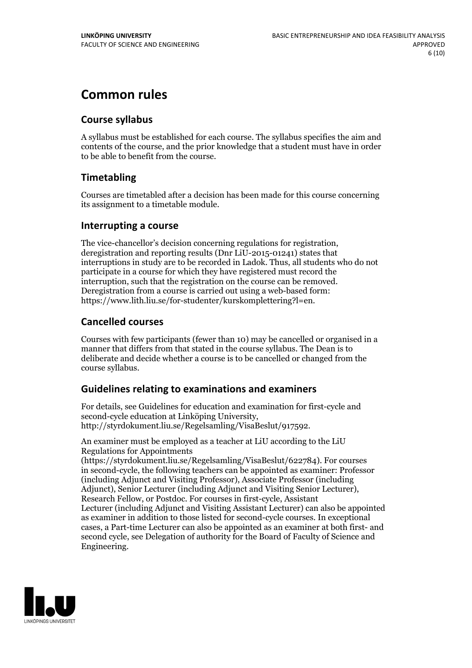## **Common rules**

### **Course syllabus**

A syllabus must be established for each course. The syllabus specifies the aim and contents of the course, and the prior knowledge that a student must have in order to be able to benefit from the course.

### **Timetabling**

Courses are timetabled after a decision has been made for this course concerning its assignment to a timetable module.

### **Interrupting a course**

The vice-chancellor's decision concerning regulations for registration, deregistration and reporting results (Dnr LiU-2015-01241) states that interruptions in study are to be recorded in Ladok. Thus, all students who do not participate in a course for which they have registered must record the interruption, such that the registration on the course can be removed. Deregistration from <sup>a</sup> course is carried outusing <sup>a</sup> web-based form: https://www.lith.liu.se/for-studenter/kurskomplettering?l=en.

### **Cancelled courses**

Courses with few participants (fewer than 10) may be cancelled or organised in a manner that differs from that stated in the course syllabus. The Dean is to deliberate and decide whether a course is to be cancelled or changed from the course syllabus.

### **Guidelines relatingto examinations and examiners**

For details, see Guidelines for education and examination for first-cycle and second-cycle education at Linköping University, http://styrdokument.liu.se/Regelsamling/VisaBeslut/917592.

An examiner must be employed as a teacher at LiU according to the LiU Regulations for Appointments

(https://styrdokument.liu.se/Regelsamling/VisaBeslut/622784). For courses in second-cycle, the following teachers can be appointed as examiner: Professor (including Adjunct and Visiting Professor), Associate Professor (including Adjunct), Senior Lecturer (including Adjunct and Visiting Senior Lecturer), Research Fellow, or Postdoc. For courses in first-cycle, Assistant Lecturer (including Adjunct and Visiting Assistant Lecturer) can also be appointed as examiner in addition to those listed for second-cycle courses. In exceptional cases, a Part-time Lecturer can also be appointed as an examiner at both first- and second cycle, see Delegation of authority for the Board of Faculty of Science and Engineering.

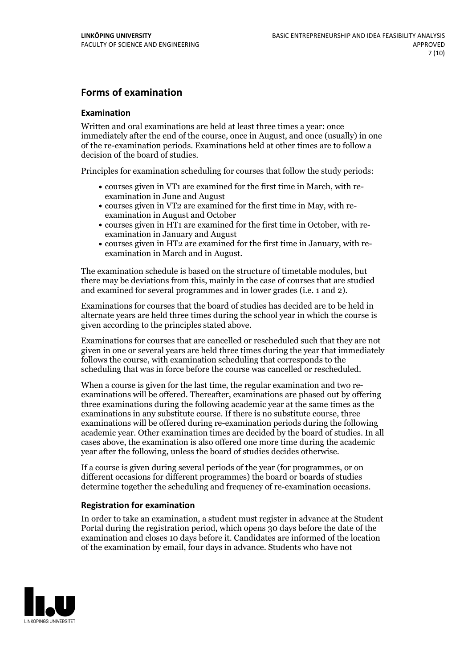### **Forms of examination**

### **Examination**

Written and oral examinations are held at least three times a year: once immediately after the end of the course, once in August, and once (usually) in one of the re-examination periods. Examinations held at other times are to follow a decision of the board of studies.

Principles for examination scheduling for courses that follow the study periods:

- courses given in VT1 are examined for the first time in March, with re-examination in June and August
- courses given in VT2 are examined for the first time in May, with re-examination in August and October
- courses given in HT1 are examined for the first time in October, with re-examination in January and August
- courses given in HT2 are examined for the first time in January, with re-examination in March and in August.

The examination schedule is based on the structure of timetable modules, but there may be deviations from this, mainly in the case of courses that are studied and examined for several programmes and in lower grades (i.e. 1 and 2).

Examinations for courses that the board of studies has decided are to be held in alternate years are held three times during the school year in which the course is given according to the principles stated above.

Examinations for courses that are cancelled orrescheduled such that they are not given in one or several years are held three times during the year that immediately follows the course, with examination scheduling that corresponds to the scheduling that was in force before the course was cancelled or rescheduled.

When a course is given for the last time, the regular examination and two re-<br>examinations will be offered. Thereafter, examinations are phased out by offering three examinations during the following academic year at the same times as the examinations in any substitute course. If there is no substitute course, three examinations will be offered during re-examination periods during the following academic year. Other examination times are decided by the board of studies. In all cases above, the examination is also offered one more time during the academic year after the following, unless the board of studies decides otherwise.

If a course is given during several periods of the year (for programmes, or on different occasions for different programmes) the board or boards of studies determine together the scheduling and frequency of re-examination occasions.

### **Registration for examination**

In order to take an examination, a student must register in advance at the Student Portal during the registration period, which opens 30 days before the date of the examination and closes 10 days before it. Candidates are informed of the location of the examination by email, four days in advance. Students who have not

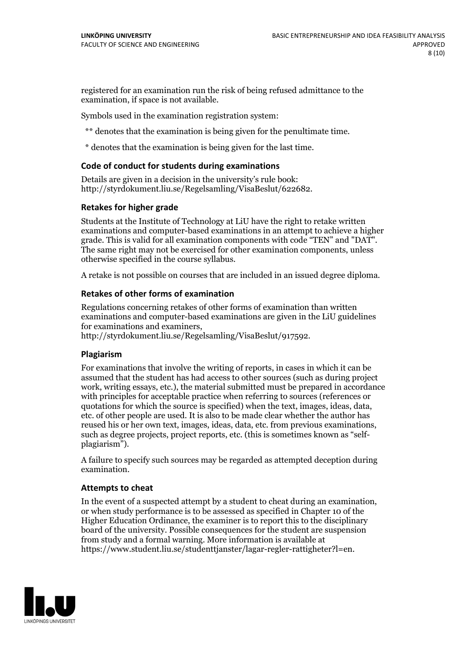registered for an examination run the risk of being refused admittance to the examination, if space is not available.

Symbols used in the examination registration system:

\*\* denotes that the examination is being given for the penultimate time.

\* denotes that the examination is being given for the last time.

### **Code of conduct for students during examinations**

Details are given in a decision in the university's rule book: http://styrdokument.liu.se/Regelsamling/VisaBeslut/622682.

### **Retakes for higher grade**

Students at the Institute of Technology at LiU have the right to retake written examinations and computer-based examinations in an attempt to achieve a higher grade. This is valid for all examination components with code "TEN" and "DAT". The same right may not be exercised for other examination components, unless otherwise specified in the course syllabus.

A retake is not possible on courses that are included in an issued degree diploma.

### **Retakes of other forms of examination**

Regulations concerning retakes of other forms of examination than written examinations and computer-based examinations are given in the LiU guidelines

http://styrdokument.liu.se/Regelsamling/VisaBeslut/917592.

### **Plagiarism**

For examinations that involve the writing of reports, in cases in which it can be assumed that the student has had access to other sources (such as during project work, writing essays, etc.), the material submitted must be prepared in accordance with principles for acceptable practice when referring to sources (references or quotations for which the source is specified) when the text, images, ideas, data,  $\vec{e}$  etc. of other people are used. It is also to be made clear whether the author has reused his or her own text, images, ideas, data, etc. from previous examinations, such as degree projects, project reports, etc. (this is sometimes known as "self- plagiarism").

A failure to specify such sources may be regarded as attempted deception during examination.

### **Attempts to cheat**

In the event of <sup>a</sup> suspected attempt by <sup>a</sup> student to cheat during an examination, or when study performance is to be assessed as specified in Chapter <sup>10</sup> of the Higher Education Ordinance, the examiner is to report this to the disciplinary board of the university. Possible consequences for the student are suspension from study and a formal warning. More information is available at https://www.student.liu.se/studenttjanster/lagar-regler-rattigheter?l=en.

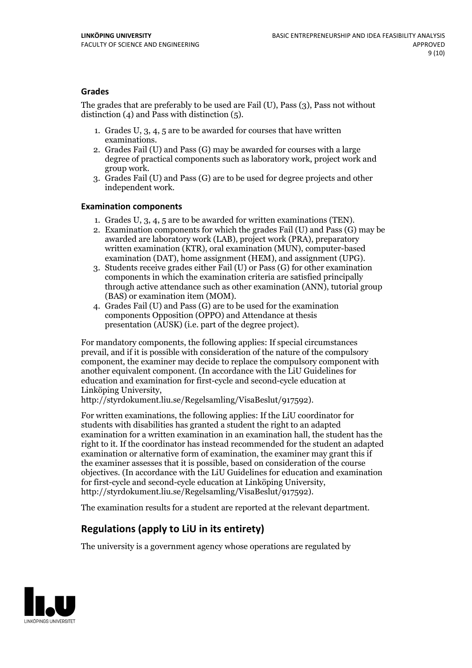### **Grades**

The grades that are preferably to be used are Fail (U), Pass (3), Pass not without distinction  $(4)$  and Pass with distinction  $(5)$ .

- 1. Grades U, 3, 4, 5 are to be awarded for courses that have written
- examinations. 2. Grades Fail (U) and Pass (G) may be awarded for courses with <sup>a</sup> large degree of practical components such as laboratory work, project work and group work. 3. Grades Fail (U) and Pass (G) are to be used for degree projects and other
- independent work.

### **Examination components**

- 
- 1. Grades U, 3, 4, <sup>5</sup> are to be awarded for written examinations (TEN). 2. Examination components for which the grades Fail (U) and Pass (G) may be awarded are laboratory work (LAB), project work (PRA), preparatory written examination (KTR), oral examination (MUN), computer-based
- examination (DAT), home assignment (HEM), and assignment (UPG). 3. Students receive grades either Fail (U) or Pass (G) for other examination components in which the examination criteria are satisfied principally through active attendance such as other examination (ANN), tutorial group
- (BAS) or examination item (MOM). 4. Grades Fail (U) and Pass (G) are to be used for the examination components Opposition (OPPO) and Attendance at thesis presentation (AUSK) (i.e. part of the degree project).

For mandatory components, the following applies: If special circumstances prevail, and if it is possible with consideration of the nature of the compulsory component, the examiner may decide to replace the compulsory component with another equivalent component. (In accordance with the LiU Guidelines for education and examination for first-cycle and second-cycle education at Linköping University, http://styrdokument.liu.se/Regelsamling/VisaBeslut/917592).

For written examinations, the following applies: If the LiU coordinator for students with disabilities has granted a student the right to an adapted examination for a written examination in an examination hall, the student has the right to it. If the coordinator has instead recommended for the student an adapted examination or alternative form of examination, the examiner may grant this if the examiner assesses that it is possible, based on consideration of the course objectives. (In accordance with the LiU Guidelines for education and examination for first-cycle and second-cycle education at Linköping University, http://styrdokument.liu.se/Regelsamling/VisaBeslut/917592).

The examination results for a student are reported at the relevant department.

### **Regulations (applyto LiU in its entirety)**

The university is a government agency whose operations are regulated by